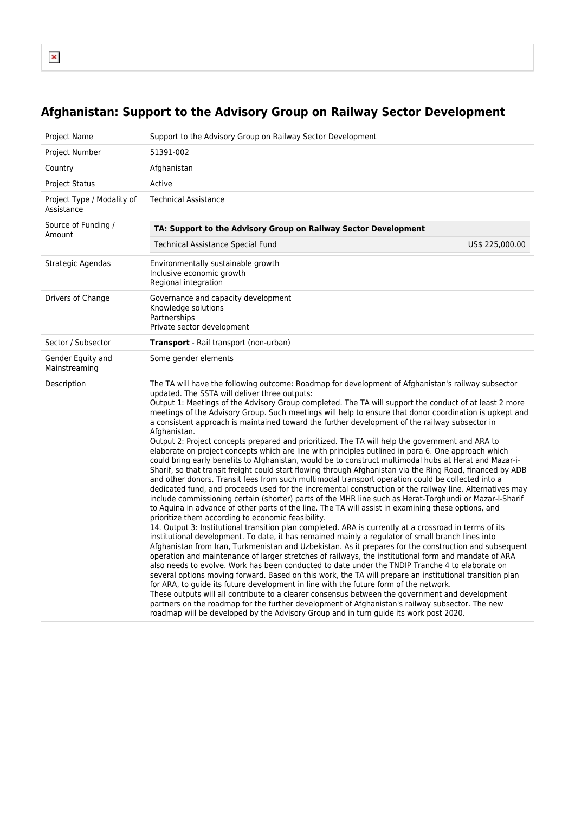## **Afghanistan: Support to the Advisory Group on Railway Sector Development**

| Project Name                             | Support to the Advisory Group on Railway Sector Development                                                                                                                                                                                                                                                                                                                                                                                                                                                                                                                                                                                                                                                                                                                                                                                                                                                                                                                                                                                                                                                                                                                                                                                                                                                                                                                                                                                                                                                                                                                                                                                                                                                                                                                                                                                                                                                                                                                                                                                                                                                                                                                                                                                                                                                                                                                                                                                                   |  |  |
|------------------------------------------|---------------------------------------------------------------------------------------------------------------------------------------------------------------------------------------------------------------------------------------------------------------------------------------------------------------------------------------------------------------------------------------------------------------------------------------------------------------------------------------------------------------------------------------------------------------------------------------------------------------------------------------------------------------------------------------------------------------------------------------------------------------------------------------------------------------------------------------------------------------------------------------------------------------------------------------------------------------------------------------------------------------------------------------------------------------------------------------------------------------------------------------------------------------------------------------------------------------------------------------------------------------------------------------------------------------------------------------------------------------------------------------------------------------------------------------------------------------------------------------------------------------------------------------------------------------------------------------------------------------------------------------------------------------------------------------------------------------------------------------------------------------------------------------------------------------------------------------------------------------------------------------------------------------------------------------------------------------------------------------------------------------------------------------------------------------------------------------------------------------------------------------------------------------------------------------------------------------------------------------------------------------------------------------------------------------------------------------------------------------------------------------------------------------------------------------------------------------|--|--|
| Project Number                           | 51391-002                                                                                                                                                                                                                                                                                                                                                                                                                                                                                                                                                                                                                                                                                                                                                                                                                                                                                                                                                                                                                                                                                                                                                                                                                                                                                                                                                                                                                                                                                                                                                                                                                                                                                                                                                                                                                                                                                                                                                                                                                                                                                                                                                                                                                                                                                                                                                                                                                                                     |  |  |
| Country                                  | Afghanistan                                                                                                                                                                                                                                                                                                                                                                                                                                                                                                                                                                                                                                                                                                                                                                                                                                                                                                                                                                                                                                                                                                                                                                                                                                                                                                                                                                                                                                                                                                                                                                                                                                                                                                                                                                                                                                                                                                                                                                                                                                                                                                                                                                                                                                                                                                                                                                                                                                                   |  |  |
| <b>Project Status</b>                    | Active                                                                                                                                                                                                                                                                                                                                                                                                                                                                                                                                                                                                                                                                                                                                                                                                                                                                                                                                                                                                                                                                                                                                                                                                                                                                                                                                                                                                                                                                                                                                                                                                                                                                                                                                                                                                                                                                                                                                                                                                                                                                                                                                                                                                                                                                                                                                                                                                                                                        |  |  |
| Project Type / Modality of<br>Assistance | <b>Technical Assistance</b>                                                                                                                                                                                                                                                                                                                                                                                                                                                                                                                                                                                                                                                                                                                                                                                                                                                                                                                                                                                                                                                                                                                                                                                                                                                                                                                                                                                                                                                                                                                                                                                                                                                                                                                                                                                                                                                                                                                                                                                                                                                                                                                                                                                                                                                                                                                                                                                                                                   |  |  |
| Source of Funding /<br>Amount            | TA: Support to the Advisory Group on Railway Sector Development                                                                                                                                                                                                                                                                                                                                                                                                                                                                                                                                                                                                                                                                                                                                                                                                                                                                                                                                                                                                                                                                                                                                                                                                                                                                                                                                                                                                                                                                                                                                                                                                                                                                                                                                                                                                                                                                                                                                                                                                                                                                                                                                                                                                                                                                                                                                                                                               |  |  |
|                                          | Technical Assistance Special Fund<br>US\$ 225,000.00                                                                                                                                                                                                                                                                                                                                                                                                                                                                                                                                                                                                                                                                                                                                                                                                                                                                                                                                                                                                                                                                                                                                                                                                                                                                                                                                                                                                                                                                                                                                                                                                                                                                                                                                                                                                                                                                                                                                                                                                                                                                                                                                                                                                                                                                                                                                                                                                          |  |  |
| Strategic Agendas                        | Environmentally sustainable growth<br>Inclusive economic growth<br>Regional integration                                                                                                                                                                                                                                                                                                                                                                                                                                                                                                                                                                                                                                                                                                                                                                                                                                                                                                                                                                                                                                                                                                                                                                                                                                                                                                                                                                                                                                                                                                                                                                                                                                                                                                                                                                                                                                                                                                                                                                                                                                                                                                                                                                                                                                                                                                                                                                       |  |  |
| Drivers of Change                        | Governance and capacity development<br>Knowledge solutions<br>Partnerships<br>Private sector development                                                                                                                                                                                                                                                                                                                                                                                                                                                                                                                                                                                                                                                                                                                                                                                                                                                                                                                                                                                                                                                                                                                                                                                                                                                                                                                                                                                                                                                                                                                                                                                                                                                                                                                                                                                                                                                                                                                                                                                                                                                                                                                                                                                                                                                                                                                                                      |  |  |
| Sector / Subsector                       | <b>Transport</b> - Rail transport (non-urban)                                                                                                                                                                                                                                                                                                                                                                                                                                                                                                                                                                                                                                                                                                                                                                                                                                                                                                                                                                                                                                                                                                                                                                                                                                                                                                                                                                                                                                                                                                                                                                                                                                                                                                                                                                                                                                                                                                                                                                                                                                                                                                                                                                                                                                                                                                                                                                                                                 |  |  |
| Gender Equity and<br>Mainstreaming       | Some gender elements                                                                                                                                                                                                                                                                                                                                                                                                                                                                                                                                                                                                                                                                                                                                                                                                                                                                                                                                                                                                                                                                                                                                                                                                                                                                                                                                                                                                                                                                                                                                                                                                                                                                                                                                                                                                                                                                                                                                                                                                                                                                                                                                                                                                                                                                                                                                                                                                                                          |  |  |
| Description                              | The TA will have the following outcome: Roadmap for development of Afghanistan's railway subsector<br>updated. The SSTA will deliver three outputs:<br>Output 1: Meetings of the Advisory Group completed. The TA will support the conduct of at least 2 more<br>meetings of the Advisory Group. Such meetings will help to ensure that donor coordination is upkept and<br>a consistent approach is maintained toward the further development of the railway subsector in<br>Afghanistan.<br>Output 2: Project concepts prepared and prioritized. The TA will help the government and ARA to<br>elaborate on project concepts which are line with principles outlined in para 6. One approach which<br>could bring early benefits to Afghanistan, would be to construct multimodal hubs at Herat and Mazar-i-<br>Sharif, so that transit freight could start flowing through Afghanistan via the Ring Road, financed by ADB<br>and other donors. Transit fees from such multimodal transport operation could be collected into a<br>dedicated fund, and proceeds used for the incremental construction of the railway line. Alternatives may<br>include commissioning certain (shorter) parts of the MHR line such as Herat-Torghundi or Mazar-I-Sharif<br>to Aquina in advance of other parts of the line. The TA will assist in examining these options, and<br>prioritize them according to economic feasibility.<br>14. Output 3: Institutional transition plan completed. ARA is currently at a crossroad in terms of its<br>institutional development. To date, it has remained mainly a regulator of small branch lines into<br>Afghanistan from Iran, Turkmenistan and Uzbekistan. As it prepares for the construction and subsequent<br>operation and maintenance of larger stretches of railways, the institutional form and mandate of ARA<br>also needs to evolve. Work has been conducted to date under the TNDIP Tranche 4 to elaborate on<br>several options moving forward. Based on this work, the TA will prepare an institutional transition plan<br>for ARA, to guide its future development in line with the future form of the network.<br>These outputs will all contribute to a clearer consensus between the government and development<br>partners on the roadmap for the further development of Afghanistan's railway subsector. The new<br>roadmap will be developed by the Advisory Group and in turn guide its work post 2020. |  |  |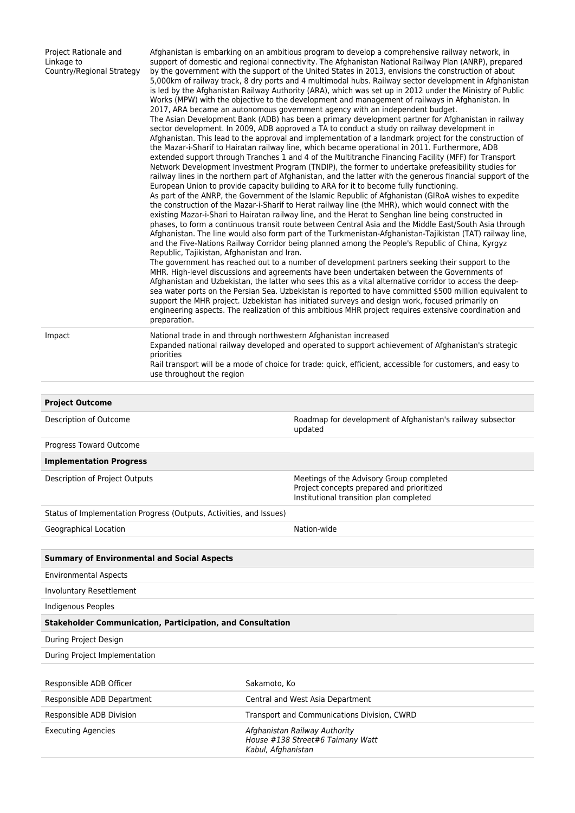| Project Rationale and<br>Linkage to<br>Country/Regional Strategy    | Afghanistan is embarking on an ambitious program to develop a comprehensive railway network, in<br>support of domestic and regional connectivity. The Afghanistan National Railway Plan (ANRP), prepared<br>by the government with the support of the United States in 2013, envisions the construction of about<br>5,000km of railway track, 8 dry ports and 4 multimodal hubs. Railway sector development in Afghanistan<br>is led by the Afghanistan Railway Authority (ARA), which was set up in 2012 under the Ministry of Public<br>Works (MPW) with the objective to the development and management of railways in Afghanistan. In<br>2017, ARA became an autonomous government agency with an independent budget.<br>The Asian Development Bank (ADB) has been a primary development partner for Afghanistan in railway<br>sector development. In 2009, ADB approved a TA to conduct a study on railway development in<br>Afghanistan. This lead to the approval and implementation of a landmark project for the construction of<br>the Mazar-i-Sharif to Hairatan railway line, which became operational in 2011. Furthermore, ADB<br>extended support through Tranches 1 and 4 of the Multitranche Financing Facility (MFF) for Transport<br>Network Development Investment Program (TNDIP), the former to undertake prefeasibility studies for<br>railway lines in the northern part of Afghanistan, and the latter with the generous financial support of the<br>European Union to provide capacity building to ARA for it to become fully functioning.<br>As part of the ANRP, the Government of the Islamic Republic of Afghanistan (GIRoA wishes to expedite<br>the construction of the Mazar-i-Sharif to Herat railway line (the MHR), which would connect with the<br>existing Mazar-i-Shari to Hairatan railway line, and the Herat to Senghan line being constructed in<br>phases, to form a continuous transit route between Central Asia and the Middle East/South Asia through<br>Afghanistan. The line would also form part of the Turkmenistan-Afghanistan-Tajikistan (TAT) railway line,<br>and the Five-Nations Railway Corridor being planned among the People's Republic of China, Kyrgyz<br>Republic, Tajikistan, Afghanistan and Iran.<br>The government has reached out to a number of development partners seeking their support to the<br>MHR. High-level discussions and agreements have been undertaken between the Governments of<br>Afghanistan and Uzbekistan, the latter who sees this as a vital alternative corridor to access the deep-<br>sea water ports on the Persian Sea. Uzbekistan is reported to have committed \$500 million equivalent to<br>support the MHR project. Uzbekistan has initiated surveys and design work, focused primarily on<br>engineering aspects. The realization of this ambitious MHR project requires extensive coordination and<br>preparation. |                                                                                                                                  |  |  |  |
|---------------------------------------------------------------------|-----------------------------------------------------------------------------------------------------------------------------------------------------------------------------------------------------------------------------------------------------------------------------------------------------------------------------------------------------------------------------------------------------------------------------------------------------------------------------------------------------------------------------------------------------------------------------------------------------------------------------------------------------------------------------------------------------------------------------------------------------------------------------------------------------------------------------------------------------------------------------------------------------------------------------------------------------------------------------------------------------------------------------------------------------------------------------------------------------------------------------------------------------------------------------------------------------------------------------------------------------------------------------------------------------------------------------------------------------------------------------------------------------------------------------------------------------------------------------------------------------------------------------------------------------------------------------------------------------------------------------------------------------------------------------------------------------------------------------------------------------------------------------------------------------------------------------------------------------------------------------------------------------------------------------------------------------------------------------------------------------------------------------------------------------------------------------------------------------------------------------------------------------------------------------------------------------------------------------------------------------------------------------------------------------------------------------------------------------------------------------------------------------------------------------------------------------------------------------------------------------------------------------------------------------------------------------------------------------------------------------------------------------------------------------------------------------------------------------------------------------------------------------------------------------------------------------------------------------------------------------------------------------------------------------|----------------------------------------------------------------------------------------------------------------------------------|--|--|--|
| Impact                                                              | National trade in and through northwestern Afghanistan increased<br>Expanded national railway developed and operated to support achievement of Afghanistan's strategic<br>priorities<br>Rail transport will be a mode of choice for trade: quick, efficient, accessible for customers, and easy to<br>use throughout the region                                                                                                                                                                                                                                                                                                                                                                                                                                                                                                                                                                                                                                                                                                                                                                                                                                                                                                                                                                                                                                                                                                                                                                                                                                                                                                                                                                                                                                                                                                                                                                                                                                                                                                                                                                                                                                                                                                                                                                                                                                                                                                                                                                                                                                                                                                                                                                                                                                                                                                                                                                                             |                                                                                                                                  |  |  |  |
|                                                                     |                                                                                                                                                                                                                                                                                                                                                                                                                                                                                                                                                                                                                                                                                                                                                                                                                                                                                                                                                                                                                                                                                                                                                                                                                                                                                                                                                                                                                                                                                                                                                                                                                                                                                                                                                                                                                                                                                                                                                                                                                                                                                                                                                                                                                                                                                                                                                                                                                                                                                                                                                                                                                                                                                                                                                                                                                                                                                                                             |                                                                                                                                  |  |  |  |
| <b>Project Outcome</b>                                              |                                                                                                                                                                                                                                                                                                                                                                                                                                                                                                                                                                                                                                                                                                                                                                                                                                                                                                                                                                                                                                                                                                                                                                                                                                                                                                                                                                                                                                                                                                                                                                                                                                                                                                                                                                                                                                                                                                                                                                                                                                                                                                                                                                                                                                                                                                                                                                                                                                                                                                                                                                                                                                                                                                                                                                                                                                                                                                                             |                                                                                                                                  |  |  |  |
| Description of Outcome                                              |                                                                                                                                                                                                                                                                                                                                                                                                                                                                                                                                                                                                                                                                                                                                                                                                                                                                                                                                                                                                                                                                                                                                                                                                                                                                                                                                                                                                                                                                                                                                                                                                                                                                                                                                                                                                                                                                                                                                                                                                                                                                                                                                                                                                                                                                                                                                                                                                                                                                                                                                                                                                                                                                                                                                                                                                                                                                                                                             | Roadmap for development of Afghanistan's railway subsector<br>updated                                                            |  |  |  |
| Progress Toward Outcome                                             |                                                                                                                                                                                                                                                                                                                                                                                                                                                                                                                                                                                                                                                                                                                                                                                                                                                                                                                                                                                                                                                                                                                                                                                                                                                                                                                                                                                                                                                                                                                                                                                                                                                                                                                                                                                                                                                                                                                                                                                                                                                                                                                                                                                                                                                                                                                                                                                                                                                                                                                                                                                                                                                                                                                                                                                                                                                                                                                             |                                                                                                                                  |  |  |  |
| <b>Implementation Progress</b>                                      |                                                                                                                                                                                                                                                                                                                                                                                                                                                                                                                                                                                                                                                                                                                                                                                                                                                                                                                                                                                                                                                                                                                                                                                                                                                                                                                                                                                                                                                                                                                                                                                                                                                                                                                                                                                                                                                                                                                                                                                                                                                                                                                                                                                                                                                                                                                                                                                                                                                                                                                                                                                                                                                                                                                                                                                                                                                                                                                             |                                                                                                                                  |  |  |  |
| Description of Project Outputs                                      |                                                                                                                                                                                                                                                                                                                                                                                                                                                                                                                                                                                                                                                                                                                                                                                                                                                                                                                                                                                                                                                                                                                                                                                                                                                                                                                                                                                                                                                                                                                                                                                                                                                                                                                                                                                                                                                                                                                                                                                                                                                                                                                                                                                                                                                                                                                                                                                                                                                                                                                                                                                                                                                                                                                                                                                                                                                                                                                             | Meetings of the Advisory Group completed<br>Project concepts prepared and prioritized<br>Institutional transition plan completed |  |  |  |
| Status of Implementation Progress (Outputs, Activities, and Issues) |                                                                                                                                                                                                                                                                                                                                                                                                                                                                                                                                                                                                                                                                                                                                                                                                                                                                                                                                                                                                                                                                                                                                                                                                                                                                                                                                                                                                                                                                                                                                                                                                                                                                                                                                                                                                                                                                                                                                                                                                                                                                                                                                                                                                                                                                                                                                                                                                                                                                                                                                                                                                                                                                                                                                                                                                                                                                                                                             |                                                                                                                                  |  |  |  |
| Geographical Location                                               |                                                                                                                                                                                                                                                                                                                                                                                                                                                                                                                                                                                                                                                                                                                                                                                                                                                                                                                                                                                                                                                                                                                                                                                                                                                                                                                                                                                                                                                                                                                                                                                                                                                                                                                                                                                                                                                                                                                                                                                                                                                                                                                                                                                                                                                                                                                                                                                                                                                                                                                                                                                                                                                                                                                                                                                                                                                                                                                             | Nation-wide                                                                                                                      |  |  |  |
| <b>Summary of Environmental and Social Aspects</b>                  |                                                                                                                                                                                                                                                                                                                                                                                                                                                                                                                                                                                                                                                                                                                                                                                                                                                                                                                                                                                                                                                                                                                                                                                                                                                                                                                                                                                                                                                                                                                                                                                                                                                                                                                                                                                                                                                                                                                                                                                                                                                                                                                                                                                                                                                                                                                                                                                                                                                                                                                                                                                                                                                                                                                                                                                                                                                                                                                             |                                                                                                                                  |  |  |  |
| <b>Environmental Aspects</b>                                        |                                                                                                                                                                                                                                                                                                                                                                                                                                                                                                                                                                                                                                                                                                                                                                                                                                                                                                                                                                                                                                                                                                                                                                                                                                                                                                                                                                                                                                                                                                                                                                                                                                                                                                                                                                                                                                                                                                                                                                                                                                                                                                                                                                                                                                                                                                                                                                                                                                                                                                                                                                                                                                                                                                                                                                                                                                                                                                                             |                                                                                                                                  |  |  |  |
| Involuntary Resettlement                                            |                                                                                                                                                                                                                                                                                                                                                                                                                                                                                                                                                                                                                                                                                                                                                                                                                                                                                                                                                                                                                                                                                                                                                                                                                                                                                                                                                                                                                                                                                                                                                                                                                                                                                                                                                                                                                                                                                                                                                                                                                                                                                                                                                                                                                                                                                                                                                                                                                                                                                                                                                                                                                                                                                                                                                                                                                                                                                                                             |                                                                                                                                  |  |  |  |
| Indigenous Peoples                                                  |                                                                                                                                                                                                                                                                                                                                                                                                                                                                                                                                                                                                                                                                                                                                                                                                                                                                                                                                                                                                                                                                                                                                                                                                                                                                                                                                                                                                                                                                                                                                                                                                                                                                                                                                                                                                                                                                                                                                                                                                                                                                                                                                                                                                                                                                                                                                                                                                                                                                                                                                                                                                                                                                                                                                                                                                                                                                                                                             |                                                                                                                                  |  |  |  |
| <b>Stakeholder Communication, Participation, and Consultation</b>   |                                                                                                                                                                                                                                                                                                                                                                                                                                                                                                                                                                                                                                                                                                                                                                                                                                                                                                                                                                                                                                                                                                                                                                                                                                                                                                                                                                                                                                                                                                                                                                                                                                                                                                                                                                                                                                                                                                                                                                                                                                                                                                                                                                                                                                                                                                                                                                                                                                                                                                                                                                                                                                                                                                                                                                                                                                                                                                                             |                                                                                                                                  |  |  |  |
| During Project Design                                               |                                                                                                                                                                                                                                                                                                                                                                                                                                                                                                                                                                                                                                                                                                                                                                                                                                                                                                                                                                                                                                                                                                                                                                                                                                                                                                                                                                                                                                                                                                                                                                                                                                                                                                                                                                                                                                                                                                                                                                                                                                                                                                                                                                                                                                                                                                                                                                                                                                                                                                                                                                                                                                                                                                                                                                                                                                                                                                                             |                                                                                                                                  |  |  |  |
| During Project Implementation                                       |                                                                                                                                                                                                                                                                                                                                                                                                                                                                                                                                                                                                                                                                                                                                                                                                                                                                                                                                                                                                                                                                                                                                                                                                                                                                                                                                                                                                                                                                                                                                                                                                                                                                                                                                                                                                                                                                                                                                                                                                                                                                                                                                                                                                                                                                                                                                                                                                                                                                                                                                                                                                                                                                                                                                                                                                                                                                                                                             |                                                                                                                                  |  |  |  |
| Responsible ADB Officer                                             |                                                                                                                                                                                                                                                                                                                                                                                                                                                                                                                                                                                                                                                                                                                                                                                                                                                                                                                                                                                                                                                                                                                                                                                                                                                                                                                                                                                                                                                                                                                                                                                                                                                                                                                                                                                                                                                                                                                                                                                                                                                                                                                                                                                                                                                                                                                                                                                                                                                                                                                                                                                                                                                                                                                                                                                                                                                                                                                             | Sakamoto, Ko                                                                                                                     |  |  |  |
| Responsible ADB Department                                          |                                                                                                                                                                                                                                                                                                                                                                                                                                                                                                                                                                                                                                                                                                                                                                                                                                                                                                                                                                                                                                                                                                                                                                                                                                                                                                                                                                                                                                                                                                                                                                                                                                                                                                                                                                                                                                                                                                                                                                                                                                                                                                                                                                                                                                                                                                                                                                                                                                                                                                                                                                                                                                                                                                                                                                                                                                                                                                                             | Central and West Asia Department                                                                                                 |  |  |  |
| Responsible ADB Division                                            |                                                                                                                                                                                                                                                                                                                                                                                                                                                                                                                                                                                                                                                                                                                                                                                                                                                                                                                                                                                                                                                                                                                                                                                                                                                                                                                                                                                                                                                                                                                                                                                                                                                                                                                                                                                                                                                                                                                                                                                                                                                                                                                                                                                                                                                                                                                                                                                                                                                                                                                                                                                                                                                                                                                                                                                                                                                                                                                             | Transport and Communications Division, CWRD                                                                                      |  |  |  |
| <b>Executing Agencies</b>                                           |                                                                                                                                                                                                                                                                                                                                                                                                                                                                                                                                                                                                                                                                                                                                                                                                                                                                                                                                                                                                                                                                                                                                                                                                                                                                                                                                                                                                                                                                                                                                                                                                                                                                                                                                                                                                                                                                                                                                                                                                                                                                                                                                                                                                                                                                                                                                                                                                                                                                                                                                                                                                                                                                                                                                                                                                                                                                                                                             | Afghanistan Railway Authority<br>House #138 Street#6 Taimany Watt<br>Kabul, Afghanistan                                          |  |  |  |